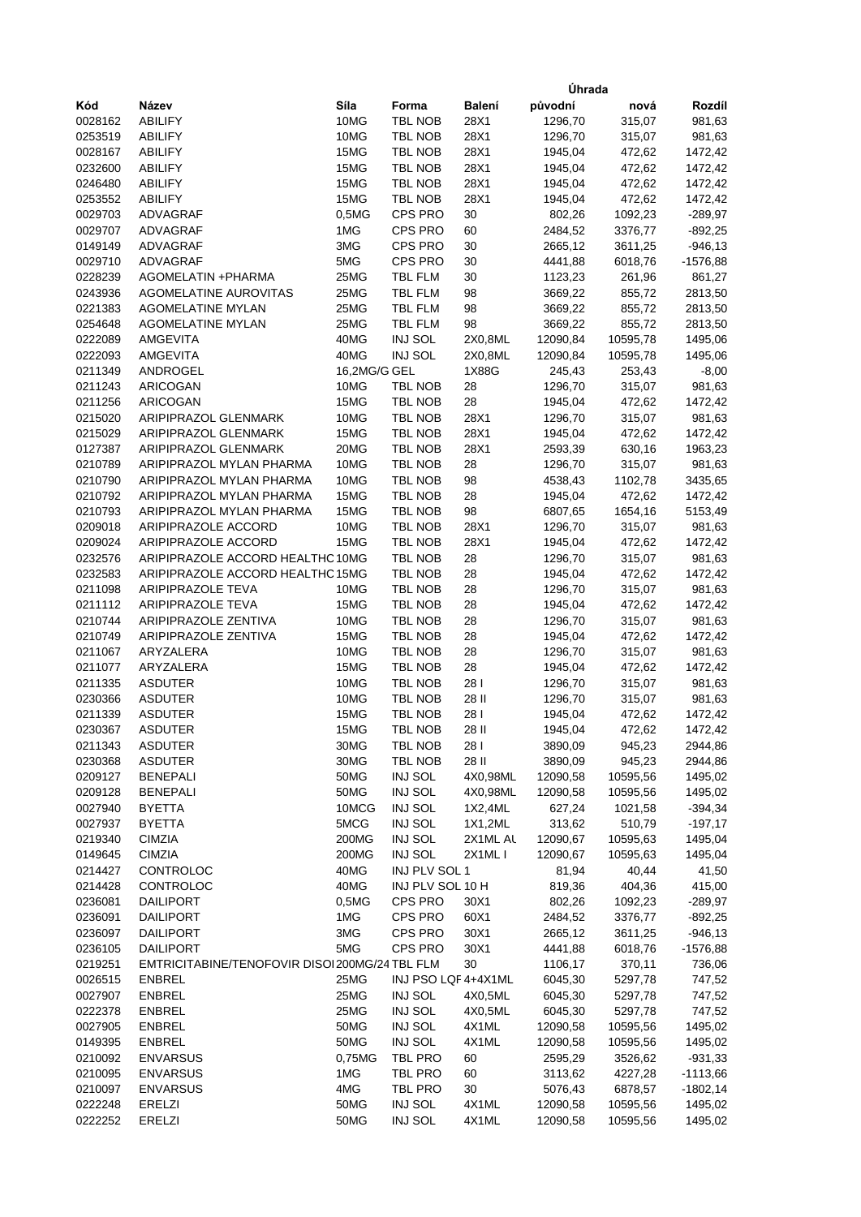|                    |                                                 |              |                           |            | Úhrada             |                    |                          |
|--------------------|-------------------------------------------------|--------------|---------------------------|------------|--------------------|--------------------|--------------------------|
| Kód                | Název                                           | Síla         | Forma                     | Balení     | původní            | nová               | Rozdíl                   |
| 0028162            | <b>ABILIFY</b>                                  | 10MG         | <b>TBL NOB</b>            | 28X1       | 1296,70            | 315,07             | 981,63                   |
| 0253519            | <b>ABILIFY</b>                                  | 10MG         | TBL NOB                   | 28X1       | 1296,70            | 315,07             | 981,63                   |
| 0028167            | <b>ABILIFY</b>                                  | 15MG         | <b>TBL NOB</b>            | 28X1       | 1945,04            | 472,62             | 1472,42                  |
| 0232600            | <b>ABILIFY</b>                                  | 15MG         | TBL NOB                   | 28X1       | 1945,04            | 472,62             | 1472,42                  |
| 0246480            | <b>ABILIFY</b>                                  | 15MG         | TBL NOB                   | 28X1       | 1945,04            | 472,62             | 1472,42                  |
| 0253552            | <b>ABILIFY</b>                                  | 15MG         | TBL NOB                   | 28X1       | 1945,04            | 472,62             | 1472,42                  |
| 0029703            | ADVAGRAF                                        | 0,5MG        | CPS PRO                   | 30         | 802,26             | 1092,23            | $-289,97$                |
| 0029707            | ADVAGRAF                                        | 1MG          | <b>CPS PRO</b>            | 60         | 2484,52            | 3376,77            | $-892,25$                |
| 0149149            | ADVAGRAF                                        | 3MG          | <b>CPS PRO</b>            | 30         | 2665,12            | 3611,25            | $-946, 13$               |
| 0029710            | ADVAGRAF                                        | 5MG          | CPS PRO                   | 30         | 4441,88            | 6018,76            | $-1576,88$               |
| 0228239            | AGOMELATIN +PHARMA                              | 25MG         | <b>TBL FLM</b>            | 30         | 1123,23            | 261,96             | 861,27                   |
| 0243936            | <b>AGOMELATINE AUROVITAS</b>                    | 25MG         | TBL FLM                   | 98         | 3669,22            | 855,72             | 2813,50                  |
| 0221383            | <b>AGOMELATINE MYLAN</b>                        | 25MG         | <b>TBL FLM</b>            | 98         | 3669,22            | 855,72             | 2813,50                  |
| 0254648            | <b>AGOMELATINE MYLAN</b>                        | 25MG         | <b>TBL FLM</b>            | 98         | 3669,22            | 855,72             | 2813,50                  |
| 0222089            | AMGEVITA                                        | 40MG         | <b>INJ SOL</b>            | 2X0,8ML    | 12090,84           | 10595,78           | 1495,06                  |
| 0222093            | AMGEVITA                                        | 40MG         | INJ SOL                   | 2X0,8ML    | 12090,84           | 10595,78           | 1495,06                  |
| 0211349            | ANDROGEL                                        | 16,2MG/G GEL |                           | 1X88G      | 245,43             | 253,43             | $-8,00$                  |
| 0211243            | <b>ARICOGAN</b>                                 | 10MG         | TBL NOB                   | 28         | 1296,70            | 315,07             | 981,63                   |
| 0211256            | <b>ARICOGAN</b>                                 | 15MG         | TBL NOB                   | 28         | 1945,04            | 472,62             | 1472,42                  |
| 0215020            | ARIPIPRAZOL GLENMARK                            | 10MG         | <b>TBL NOB</b>            | 28X1       | 1296,70            | 315,07             | 981,63                   |
| 0215029            | ARIPIPRAZOL GLENMARK                            | 15MG         | TBL NOB                   | 28X1       | 1945,04            | 472,62             | 1472,42                  |
| 0127387            | <b>ARIPIPRAZOL GLENMARK</b>                     | 20MG         | TBL NOB                   | 28X1       | 2593,39            | 630,16             | 1963,23                  |
| 0210789            | ARIPIPRAZOL MYLAN PHARMA                        | 10MG         | <b>TBL NOB</b>            | 28         | 1296,70            | 315,07             | 981,63                   |
| 0210790            | ARIPIPRAZOL MYLAN PHARMA                        | 10MG<br>15MG | TBL NOB                   | 98         | 4538,43            | 1102,78            | 3435,65                  |
| 0210792            | ARIPIPRAZOL MYLAN PHARMA                        | 15MG         | TBL NOB                   | 28         | 1945,04            | 472,62             | 1472,42                  |
| 0210793<br>0209018 | ARIPIPRAZOL MYLAN PHARMA<br>ARIPIPRAZOLE ACCORD | 10MG         | TBL NOB<br><b>TBL NOB</b> | 98<br>28X1 | 6807,65<br>1296,70 | 1654,16<br>315,07  | 5153,49                  |
| 0209024            | ARIPIPRAZOLE ACCORD                             | 15MG         | TBL NOB                   | 28X1       | 1945,04            | 472,62             | 981,63<br>1472,42        |
| 0232576            | ARIPIPRAZOLE ACCORD HEALTHC 10MG                |              | TBL NOB                   | 28         | 1296,70            | 315,07             | 981,63                   |
| 0232583            | ARIPIPRAZOLE ACCORD HEALTHC 15MG                |              | TBL NOB                   | 28         | 1945,04            | 472,62             | 1472,42                  |
| 0211098            | <b>ARIPIPRAZOLE TEVA</b>                        | 10MG         | TBL NOB                   | 28         | 1296,70            | 315,07             | 981,63                   |
| 0211112            | <b>ARIPIPRAZOLE TEVA</b>                        | 15MG         | TBL NOB                   | 28         | 1945,04            | 472,62             | 1472,42                  |
| 0210744            | ARIPIPRAZOLE ZENTIVA                            | 10MG         | <b>TBL NOB</b>            | 28         | 1296,70            | 315,07             | 981,63                   |
| 0210749            | ARIPIPRAZOLE ZENTIVA                            | 15MG         | TBL NOB                   | 28         | 1945,04            | 472,62             | 1472,42                  |
| 0211067            | ARYZALERA                                       | 10MG         | <b>TBL NOB</b>            | 28         | 1296,70            | 315,07             | 981,63                   |
| 0211077            | ARYZALERA                                       | 15MG         | TBL NOB                   | 28         | 1945,04            | 472,62             | 1472,42                  |
| 0211335            | <b>ASDUTER</b>                                  | 10MG         | TBL NOB                   | 281        | 1296,70            | 315,07             | 981,63                   |
| 0230366            | ASDUTER                                         | 10MG         | <b>TBL NOB</b>            | 28 II      | 1296,70            | 315,07             | 981,63                   |
| 0211339            | <b>ASDUTER</b>                                  | 15MG         | TBL NOB                   | 281        | 1945,04            | 472,62             | 1472,42                  |
| 0230367            | ASDUTER                                         | 15MG         | TBL NOB                   | 28 II      | 1945,04            | 472,62             | 1472,42                  |
| 0211343            | <b>ASDUTER</b>                                  | 30MG         | <b>TBL NOB</b>            | 28 I       | 3890,09            | 945,23             | 2944,86                  |
| 0230368            | <b>ASDUTER</b>                                  | 30MG         | TBL NOB                   | 28 II      | 3890,09            | 945,23             | 2944,86                  |
| 0209127            | <b>BENEPALI</b>                                 | 50MG         | INJ SOL                   | 4X0,98ML   | 12090,58           | 10595,56           | 1495,02                  |
| 0209128            | <b>BENEPALI</b>                                 | 50MG         | INJ SOL                   | 4X0,98ML   | 12090,58           | 10595,56           | 1495,02                  |
| 0027940            | <b>BYETTA</b>                                   | 10MCG        | INJ SOL                   | 1X2,4ML    | 627,24             | 1021,58            | $-394,34$                |
| 0027937            | <b>BYETTA</b>                                   | 5MCG         | INJ SOL                   | 1X1,2ML    | 313,62             | 510,79             | $-197,17$                |
| 0219340            | <b>CIMZIA</b>                                   | 200MG        | INJ SOL                   | 2X1ML AL   | 12090,67           | 10595,63           | 1495,04                  |
| 0149645            | <b>CIMZIA</b>                                   | 200MG        | <b>INJ SOL</b>            | 2X1MLI     | 12090,67           | 10595,63           | 1495,04                  |
| 0214427            | CONTROLOC                                       | 40MG         | INJ PLV SOL 1             |            | 81,94              | 40,44              | 41,50                    |
| 0214428            | CONTROLOC                                       | 40MG         | INJ PLV SOL 10 H          |            | 819,36             | 404,36             | 415,00                   |
| 0236081            | <b>DAILIPORT</b>                                | 0,5MG        | CPS PRO                   | 30X1       | 802,26             | 1092,23            | $-289,97$                |
| 0236091            | <b>DAILIPORT</b>                                | 1MG          | CPS PRO                   | 60X1       | 2484,52            | 3376,77            | $-892,25$                |
| 0236097            | <b>DAILIPORT</b>                                | 3MG          | CPS PRO                   | 30X1       | 2665,12            | 3611,25            | $-946,13$                |
| 0236105            | <b>DAILIPORT</b>                                | 5MG          | CPS PRO                   | 30X1       | 4441,88            | 6018,76            | $-1576,88$               |
| 0219251            | EMTRICITABINE/TENOFOVIR DISOI 200MG/24 TBL FLM  |              |                           | 30         | 1106,17            | 370,11             | 736,06                   |
| 0026515            | <b>ENBREL</b>                                   | 25MG         | INJ PSO LQF 4+4X1ML       |            | 6045,30            | 5297,78            | 747,52                   |
| 0027907            | <b>ENBREL</b>                                   | 25MG         | INJ SOL                   | 4X0,5ML    | 6045,30            | 5297,78            | 747,52                   |
| 0222378            | <b>ENBREL</b>                                   | 25MG         | INJ SOL                   | 4X0,5ML    | 6045,30            | 5297,78            | 747,52                   |
| 0027905            | <b>ENBREL</b>                                   | 50MG         | INJ SOL                   | 4X1ML      | 12090,58           | 10595,56           | 1495,02                  |
| 0149395            | <b>ENBREL</b>                                   | 50MG         | INJ SOL                   | 4X1ML      | 12090,58           | 10595,56           | 1495,02                  |
| 0210092            | <b>ENVARSUS</b>                                 | 0,75MG       | TBL PRO                   | 60         | 2595,29            | 3526,62            | $-931,33$                |
| 0210095<br>0210097 | <b>ENVARSUS</b><br><b>ENVARSUS</b>              | 1MG<br>4MG   | TBL PRO<br>TBL PRO        | 60<br>30   | 3113,62<br>5076,43 | 4227,28<br>6878,57 | $-1113,66$<br>$-1802,14$ |
| 0222248            | <b>ERELZI</b>                                   | 50MG         | INJ SOL                   | 4X1ML      | 12090,58           | 10595,56           | 1495,02                  |
| 0222252            | <b>ERELZI</b>                                   | 50MG         | <b>INJ SOL</b>            | 4X1ML      | 12090,58           | 10595,56           | 1495,02                  |
|                    |                                                 |              |                           |            |                    |                    |                          |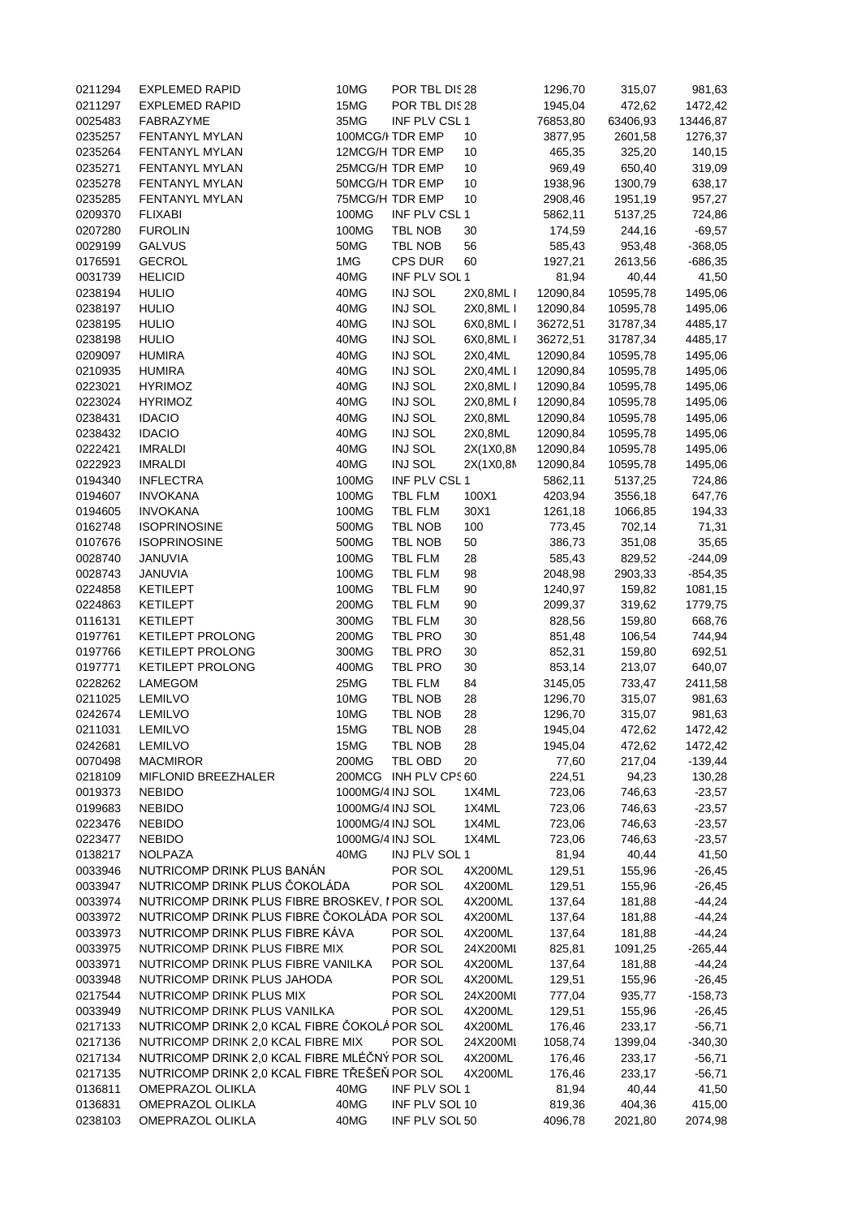| 0211294 | <b>EXPLEMED RAPID</b>                         | 10MG             | POR TBL DIS28         |           | 1296,70  | 315,07   | 981,63    |
|---------|-----------------------------------------------|------------------|-----------------------|-----------|----------|----------|-----------|
| 0211297 | <b>EXPLEMED RAPID</b>                         | 15MG             | POR TBL DIS28         |           | 1945,04  | 472,62   | 1472,42   |
| 0025483 | FABRAZYME                                     | 35MG             | INF PLV CSL1          |           | 76853,80 | 63406,93 | 13446,87  |
| 0235257 | FENTANYL MYLAN                                |                  | 100MCG/I TDR EMP      | 10        | 3877,95  | 2601,58  | 1276,37   |
| 0235264 | FENTANYL MYLAN                                |                  | 12MCG/H TDR EMP       | 10        | 465,35   | 325,20   | 140,15    |
| 0235271 | FENTANYL MYLAN                                |                  | 25MCG/H TDR EMP       | 10        | 969,49   | 650,40   | 319,09    |
| 0235278 | FENTANYL MYLAN                                |                  | 50MCG/H TDR EMP       | 10        | 1938,96  | 1300,79  | 638,17    |
| 0235285 | FENTANYL MYLAN                                |                  | 75MCG/H TDR EMP       | 10        | 2908,46  | 1951,19  | 957,27    |
| 0209370 | <b>FLIXABI</b>                                | 100MG            | INF PLV CSL 1         |           | 5862,11  | 5137,25  | 724,86    |
| 0207280 | <b>FUROLIN</b>                                | 100MG            | TBL NOB               | 30        | 174,59   | 244,16   | $-69,57$  |
|         |                                               |                  |                       |           |          |          |           |
| 0029199 | <b>GALVUS</b>                                 | 50MG             | TBL NOB               | 56        | 585,43   | 953,48   | $-368,05$ |
| 0176591 | <b>GECROL</b>                                 | 1MG              | CPS DUR               | 60        | 1927,21  | 2613,56  | $-686,35$ |
| 0031739 | <b>HELICID</b>                                | 40MG             | INF PLV SOL 1         |           | 81,94    | 40,44    | 41,50     |
| 0238194 | <b>HULIO</b>                                  | 40MG             | INJ SOL               | 2X0,8ML I | 12090,84 | 10595,78 | 1495,06   |
| 0238197 | <b>HULIO</b>                                  | 40MG             | INJ SOL               | 2X0,8ML I | 12090,84 | 10595,78 | 1495,06   |
| 0238195 | <b>HULIO</b>                                  | 40MG             | INJ SOL               | 6X0,8ML I | 36272,51 | 31787,34 | 4485,17   |
| 0238198 | <b>HULIO</b>                                  | 40MG             | INJ SOL               | 6X0,8ML I | 36272,51 | 31787,34 | 4485,17   |
| 0209097 | <b>HUMIRA</b>                                 | 40MG             | INJ SOL               | 2X0,4ML   | 12090,84 | 10595,78 | 1495,06   |
| 0210935 | <b>HUMIRA</b>                                 | 40MG             | INJ SOL               | 2X0,4ML I | 12090,84 | 10595,78 | 1495,06   |
| 0223021 | <b>HYRIMOZ</b>                                | 40MG             | INJ SOL               | 2X0,8ML I | 12090,84 | 10595,78 | 1495,06   |
| 0223024 | <b>HYRIMOZ</b>                                | 40MG             | INJ SOL               | 2X0,8ML I | 12090,84 | 10595,78 | 1495,06   |
| 0238431 | <b>IDACIO</b>                                 | 40MG             | INJ SOL               | 2X0,8ML   | 12090,84 | 10595,78 | 1495,06   |
|         |                                               |                  |                       |           |          |          |           |
| 0238432 | <b>IDACIO</b>                                 | 40MG             | INJ SOL               | 2X0,8ML   | 12090,84 | 10595,78 | 1495,06   |
| 0222421 | <b>IMRALDI</b>                                | 40MG             | INJ SOL               | 2X(1X0,8M | 12090,84 | 10595,78 | 1495,06   |
| 0222923 | <b>IMRALDI</b>                                | 40MG             | INJ SOL               | 2X(1X0,8M | 12090,84 | 10595,78 | 1495,06   |
| 0194340 | <b>INFLECTRA</b>                              | 100MG            | INF PLV CSL1          |           | 5862,11  | 5137,25  | 724,86    |
| 0194607 | <b>INVOKANA</b>                               | 100MG            | TBL FLM               | 100X1     | 4203,94  | 3556,18  | 647,76    |
| 0194605 | <b>INVOKANA</b>                               | 100MG            | TBL FLM               | 30X1      | 1261,18  | 1066,85  | 194,33    |
| 0162748 | <b>ISOPRINOSINE</b>                           | 500MG            | TBL NOB               | 100       | 773,45   | 702,14   | 71,31     |
| 0107676 | <b>ISOPRINOSINE</b>                           | 500MG            | TBL NOB               | 50        | 386,73   | 351,08   | 35,65     |
| 0028740 | JANUVIA                                       | 100MG            | TBL FLM               | 28        | 585,43   | 829,52   | $-244,09$ |
| 0028743 | JANUVIA                                       | 100MG            | TBL FLM               | 98        | 2048,98  | 2903,33  | $-854,35$ |
| 0224858 | <b>KETILEPT</b>                               | 100MG            | TBL FLM               | 90        | 1240,97  | 159,82   | 1081,15   |
| 0224863 | <b>KETILEPT</b>                               | 200MG            | TBL FLM               | 90        | 2099,37  |          |           |
|         |                                               |                  |                       |           |          | 319,62   | 1779,75   |
| 0116131 | <b>KETILEPT</b>                               | 300MG            | TBL FLM               | 30        | 828,56   | 159,80   | 668,76    |
| 0197761 | <b>KETILEPT PROLONG</b>                       | 200MG            | TBL PRO               | 30        | 851,48   | 106,54   | 744,94    |
| 0197766 | <b>KETILEPT PROLONG</b>                       | 300MG            | TBL PRO               | 30        | 852,31   | 159,80   | 692,51    |
| 0197771 | KETILEPT PROLONG                              | 400MG            | TBL PRO               | 30        | 853,14   | 213,07   | 640,07    |
| 0228262 | LAMEGOM                                       | 25MG             | TBL FLM               | 84        | 3145,05  | 733,47   | 2411,58   |
| 0211025 | <b>LEMILVO</b>                                | 10MG             | TBL NOB               | 28        | 1296,70  | 315,07   | 981,63    |
| 0242674 | <b>LEMILVO</b>                                | 10MG             | TBL NOB               | 28        | 1296,70  | 315,07   | 981,63    |
| 0211031 | <b>LEMILVO</b>                                | 15MG             | TBL NOB               | 28        | 1945,04  | 472,62   | 1472,42   |
| 0242681 | <b>LEMILVO</b>                                | 15MG             | TBL NOB               | 28        | 1945,04  | 472,62   | 1472,42   |
| 0070498 | <b>MACMIROR</b>                               | 200MG            | TBL OBD               | 20        | 77,60    | 217,04   | $-139,44$ |
| 0218109 | MIFLONID BREEZHALER                           |                  | 200MCG INH PLV CPS 60 |           | 224,51   | 94,23    | 130,28    |
| 0019373 | <b>NEBIDO</b>                                 | 1000MG/4 INJ SOL |                       | 1X4ML     | 723,06   | 746,63   | $-23,57$  |
| 0199683 |                                               | 1000MG/4 INJ SOL |                       |           |          |          |           |
|         | <b>NEBIDO</b>                                 |                  |                       | 1X4ML     | 723,06   | 746,63   | $-23,57$  |
| 0223476 | <b>NEBIDO</b>                                 | 1000MG/4 INJ SOL |                       | 1X4ML     | 723,06   | 746,63   | $-23,57$  |
| 0223477 | <b>NEBIDO</b>                                 | 1000MG/4 INJ SOL |                       | 1X4ML     | 723,06   | 746,63   | $-23,57$  |
| 0138217 | <b>NOLPAZA</b>                                | 40MG             | INJ PLV SOL 1         |           | 81,94    | 40,44    | 41,50     |
| 0033946 | NUTRICOMP DRINK PLUS BANAN                    |                  | POR SOL               | 4X200ML   | 129,51   | 155,96   | $-26,45$  |
| 0033947 | NUTRICOMP DRINK PLUS ČOKOLÁDA                 |                  | POR SOL               | 4X200ML   | 129,51   | 155,96   | $-26,45$  |
| 0033974 | NUTRICOMP DRINK PLUS FIBRE BROSKEV, I POR SOL |                  |                       | 4X200ML   | 137,64   | 181,88   | $-44,24$  |
| 0033972 | NUTRICOMP DRINK PLUS FIBRE ČOKOLÁDA POR SOL   |                  |                       | 4X200ML   | 137,64   | 181,88   | $-44,24$  |
| 0033973 | NUTRICOMP DRINK PLUS FIBRE KÁVA               |                  | POR SOL               | 4X200ML   | 137,64   | 181,88   | $-44,24$  |
| 0033975 | NUTRICOMP DRINK PLUS FIBRE MIX                |                  | POR SOL               | 24X200ML  | 825,81   | 1091,25  | $-265,44$ |
| 0033971 | NUTRICOMP DRINK PLUS FIBRE VANILKA            |                  | POR SOL               | 4X200ML   | 137,64   | 181,88   | $-44,24$  |
|         | NUTRICOMP DRINK PLUS JAHODA                   |                  | POR SOL               | 4X200ML   | 129,51   |          | $-26,45$  |
| 0033948 |                                               |                  |                       |           |          | 155,96   |           |
| 0217544 | NUTRICOMP DRINK PLUS MIX                      |                  | POR SOL               | 24X200ML  | 777,04   | 935,77   | $-158,73$ |
| 0033949 | NUTRICOMP DRINK PLUS VANILKA                  |                  | POR SOL               | 4X200ML   | 129,51   | 155,96   | $-26,45$  |
| 0217133 | NUTRICOMP DRINK 2,0 KCAL FIBRE ČOKOLÁ POR SOL |                  |                       | 4X200ML   | 176,46   | 233,17   | $-56,71$  |
| 0217136 | NUTRICOMP DRINK 2,0 KCAL FIBRE MIX            |                  | POR SOL               | 24X200ML  | 1058,74  | 1399,04  | $-340,30$ |
| 0217134 | NUTRICOMP DRINK 2,0 KCAL FIBRE MLÉČNÝ POR SOL |                  |                       | 4X200ML   | 176,46   | 233,17   | $-56,71$  |
| 0217135 | NUTRICOMP DRINK 2,0 KCAL FIBRE TŘEŠEŇ POR SOL |                  |                       | 4X200ML   | 176,46   | 233,17   | $-56,71$  |
| 0136811 | <b>OMEPRAZOL OLIKLA</b>                       | 40MG             | INF PLV SOL 1         |           | 81,94    | 40,44    | 41,50     |
| 0136831 | <b>OMEPRAZOL OLIKLA</b>                       | 40MG             | INF PLV SOL 10        |           | 819,36   | 404,36   | 415,00    |
| 0238103 | <b>OMEPRAZOL OLIKLA</b>                       | 40MG             | INF PLV SOL 50        |           | 4096,78  | 2021,80  | 2074,98   |
|         |                                               |                  |                       |           |          |          |           |